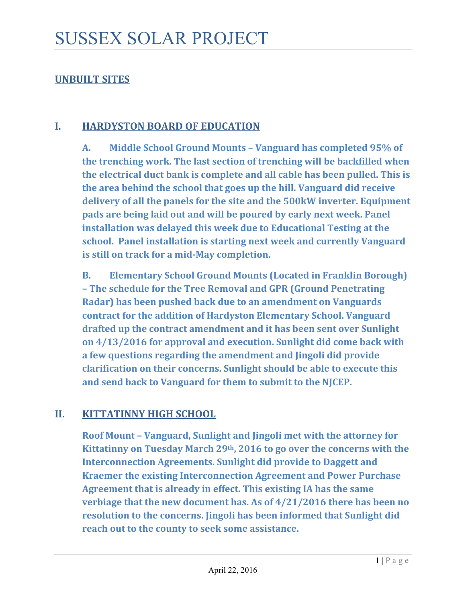# **UNBUILT SITES**

#### **I. HARDYSTON BOARD OF EDUCATION**

**A. Middle School Ground Mounts – Vanguard has completed 95% of the trenching work. The last section of trenching will be backfilled when the electrical duct bank is complete and all cable has been pulled. This is the area behind the school that goes up the hill. Vanguard did receive delivery of all the panels for the site and the 500kW inverter. Equipment pads are being laid out and will be poured by early next week. Panel installation was delayed this week due to Educational Testing at the school. Panel installation is starting next week and currently Vanguard is still on track for a mid‐May completion.** 

**B. Elementary School Ground Mounts (Located in Franklin Borough) – The schedule for the Tree Removal and GPR (Ground Penetrating Radar) has been pushed back due to an amendment on Vanguards contract for the addition of Hardyston Elementary School. Vanguard drafted up the contract amendment and it has been sent over Sunlight on 4/13/2016 for approval and execution. Sunlight did come back with a few questions regarding the amendment and Jingoli did provide clarification on their concerns. Sunlight should be able to execute this and send back to Vanguard for them to submit to the NJCEP.** 

### **II. KITTATINNY HIGH SCHOOL**

**Roof Mount – Vanguard, Sunlight and Jingoli met with the attorney for Kittatinny on Tuesday March 29th, 2016 to go over the concerns with the Interconnection Agreements. Sunlight did provide to Daggett and Kraemer the existing Interconnection Agreement and Power Purchase Agreement that is already in effect. This existing IA has the same verbiage that the new document has. As of 4/21/2016 there has been no resolution to the concerns. Jingoli has been informed that Sunlight did reach out to the county to seek some assistance.**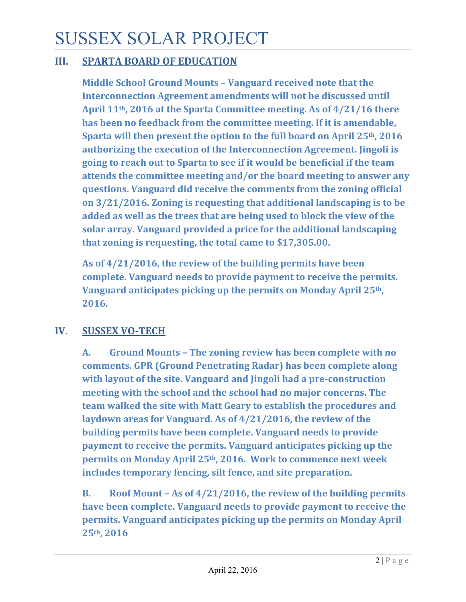# SUSSEX SOLAR PROJECT

## **III. SPARTA BOARD OF EDUCATION**

**Middle School Ground Mounts – Vanguard received note that the Interconnection Agreement amendments will not be discussed until April 11th, 2016 at the Sparta Committee meeting. As of 4/21/16 there has been no feedback from the committee meeting. If it is amendable, Sparta will then present the option to the full board on April 25th, 2016 authorizing the execution of the Interconnection Agreement. Jingoli is going to reach out to Sparta to see if it would be beneficial if the team attends the committee meeting and/or the board meeting to answer any questions. Vanguard did receive the comments from the zoning official on 3/21/2016. Zoning is requesting that additional landscaping is to be added as well as the trees that are being used to block the view of the solar array. Vanguard provided a price for the additional landscaping that zoning is requesting, the total came to \$17,305.00.**

**As of 4/21/2016, the review of the building permits have been complete. Vanguard needs to provide payment to receive the permits. Vanguard anticipates picking up the permits on Monday April 25th, 2016.** 

# **IV. SUSSEX VO‐TECH**

**A. Ground Mounts – The zoning review has been complete with no comments. GPR (Ground Penetrating Radar) has been complete along with layout of the site. Vanguard and Jingoli had a pre‐construction meeting with the school and the school had no major concerns. The team walked the site with Matt Geary to establish the procedures and laydown areas for Vanguard. As of 4/21/2016, the review of the building permits have been complete. Vanguard needs to provide payment to receive the permits. Vanguard anticipates picking up the permits on Monday April 25th, 2016. Work to commence next week includes temporary fencing, silt fence, and site preparation.**

**B. Roof Mount – As of 4/21/2016, the review of the building permits have been complete. Vanguard needs to provide payment to receive the permits. Vanguard anticipates picking up the permits on Monday April 25th, 2016**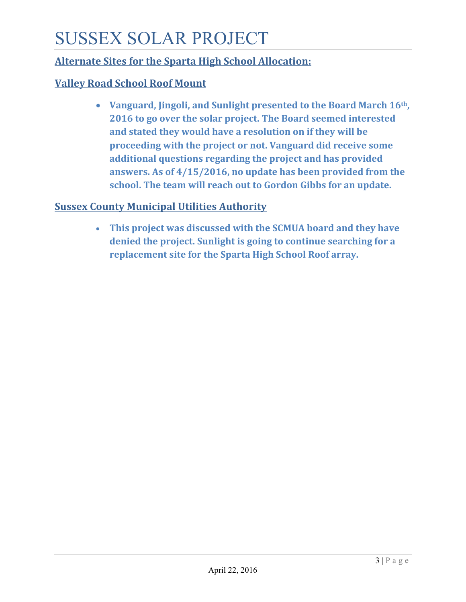# SUSSEX SOLAR PROJECT

# **Alternate Sites for the Sparta High School Allocation:**

# **Valley Road School Roof Mount**

 **Vanguard, Jingoli, and Sunlight presented to the Board March 16th, 2016 to go over the solar project. The Board seemed interested and stated they would have a resolution on if they will be proceeding with the project or not. Vanguard did receive some additional questions regarding the project and has provided answers. As of 4/15/2016, no update has been provided from the school. The team will reach out to Gordon Gibbs for an update.** 

# **Sussex County Municipal Utilities Authority**

 **This project was discussed with the SCMUA board and they have denied the project. Sunlight is going to continue searching for a replacement site for the Sparta High School Roof array.**